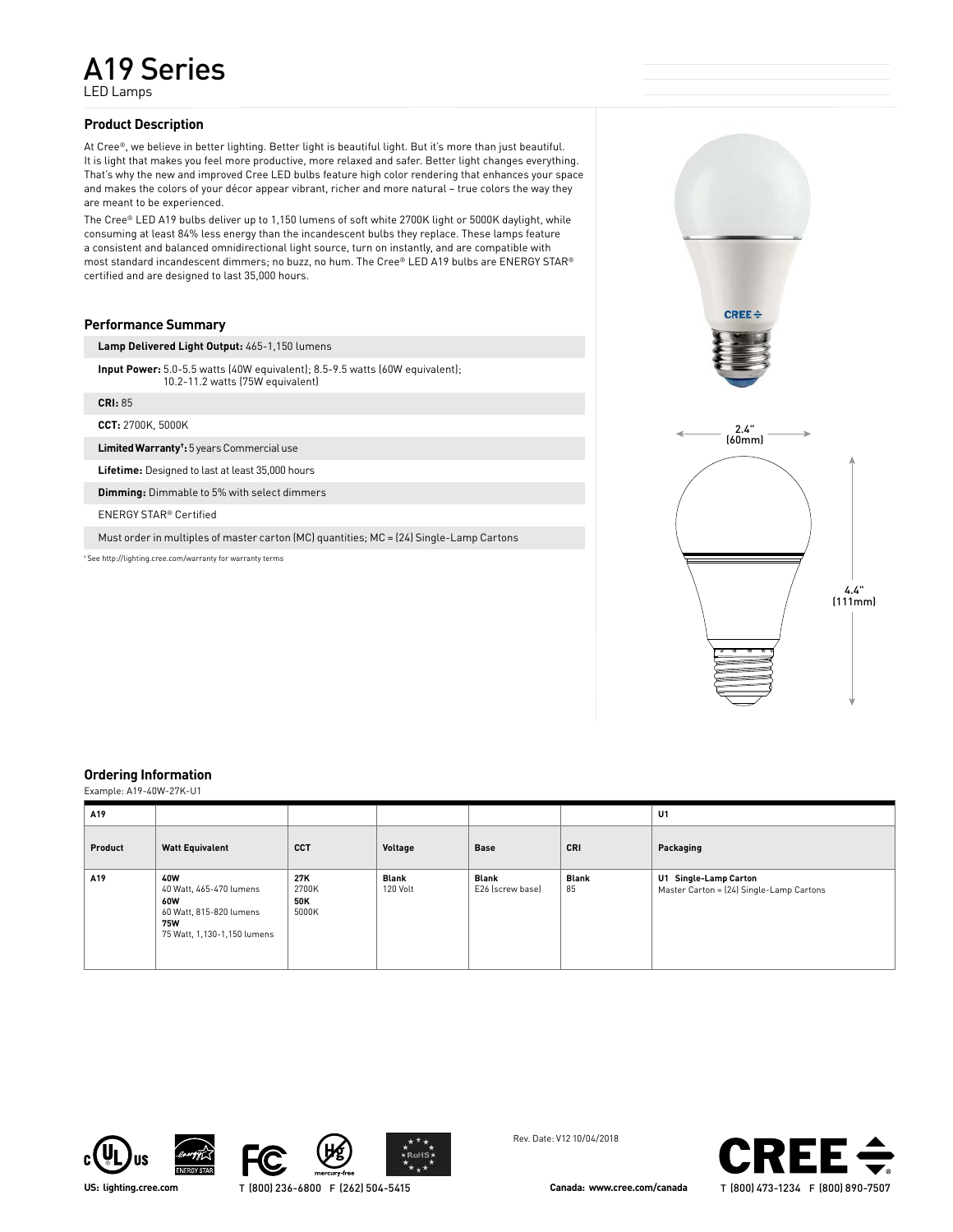LED Lamps

## **Product Description**

At Cree®, we believe in better lighting. Better light is beautiful light. But it's more than just beautiful. It is light that makes you feel more productive, more relaxed and safer. Better light changes everything. That's why the new and improved Cree LED bulbs feature high color rendering that enhances your space and makes the colors of your décor appear vibrant, richer and more natural – true colors the way they are meant to be experienced.

The Cree® LED A19 bulbs deliver up to 1,150 lumens of soft white 2700K light or 5000K daylight, while consuming at least 84% less energy than the incandescent bulbs they replace. These lamps feature a consistent and balanced omnidirectional light source, turn on instantly, and are compatible with most standard incandescent dimmers; no buzz, no hum. The Cree® LED A19 bulbs are ENERGY STAR® certified and are designed to last 35,000 hours.

# **Performance Summary**

**Lamp Delivered Light Output:** 465-1,150 lumens

**Input Power:** 5.0-5.5 watts (40W equivalent); 8.5-9.5 watts (60W equivalent); 10.2-11.2 watts (75W equivalent)

**CRI:** 85

**CCT:** 2700K, 5000K

**Limited Warranty† :** 5 years Commercial use

**Lifetime:** Designed to last at least 35,000 hours

**Dimming:** Dimmable to 5% with select dimmers

ENERGY STAR® Certified

Must order in multiples of master carton (MC) quantities; MC = (24) Single-Lamp Cartons

† See http://lighting.cree.com/warranty for warranty terms



## **Ordering Information**

Example: A19-40W-27K-U1

| A19     |                                                                                                        |                              |                   |                           |                    | U1                                                                |
|---------|--------------------------------------------------------------------------------------------------------|------------------------------|-------------------|---------------------------|--------------------|-------------------------------------------------------------------|
| Product | <b>Watt Equivalent</b>                                                                                 | <b>CCT</b>                   | Voltage           | <b>Base</b>               | CRI                | Packaging                                                         |
| A19     | 40W<br>40 Watt, 465-470 lumens<br>60W<br>60 Watt, 815-820 lumens<br>75W<br>75 Watt, 1,130-1,150 lumens | 27K<br>2700K<br>50K<br>5000K | Blank<br>120 Volt | Blank<br>E26 (screw base) | <b>Blank</b><br>85 | U1 Single-Lamp Carton<br>Master Carton = (24) Single-Lamp Cartons |









Rev. Date: V12 10/04/2018